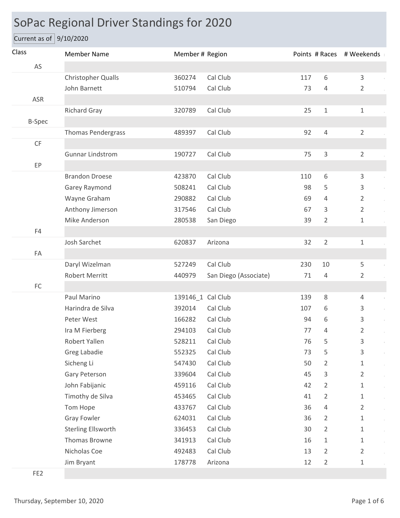## SoPac Regional Driver Standings for 2020

Current as of 9/10/2020

| Class           | <b>Member Name</b>        | Member # Region   |                       |     |                | Points # Races # Weekends |
|-----------------|---------------------------|-------------------|-----------------------|-----|----------------|---------------------------|
| AS              |                           |                   |                       |     |                |                           |
|                 | <b>Christopher Qualls</b> | 360274            | Cal Club              | 117 | $6\,$          | $\mathsf{3}$              |
|                 | John Barnett              | 510794            | Cal Club              | 73  | 4              | $\overline{2}$            |
| ASR             |                           |                   |                       |     |                |                           |
|                 | <b>Richard Gray</b>       | 320789            | Cal Club              | 25  | $1\,$          | $\mathbf{1}$              |
| <b>B-Spec</b>   |                           |                   |                       |     |                |                           |
|                 | <b>Thomas Pendergrass</b> | 489397            | Cal Club              | 92  | $\overline{4}$ | $\overline{2}$            |
| CF              |                           |                   |                       |     |                |                           |
|                 | <b>Gunnar Lindstrom</b>   | 190727            | Cal Club              | 75  | 3              | $\overline{2}$            |
| EP              |                           |                   |                       |     |                |                           |
|                 | <b>Brandon Droese</b>     | 423870            | Cal Club              | 110 | 6              | 3                         |
|                 | Garey Raymond             | 508241            | Cal Club              | 98  | 5              | 3                         |
|                 | Wayne Graham              | 290882            | Cal Club              | 69  | 4              | $\overline{2}$            |
|                 | Anthony Jimerson          | 317546            | Cal Club              | 67  | 3              | $\overline{2}$            |
|                 | Mike Anderson             | 280538            | San Diego             | 39  | $\overline{2}$ | $\mathbf 1$               |
| F4              |                           |                   |                       |     |                |                           |
|                 | Josh Sarchet              | 620837            | Arizona               | 32  | $\overline{2}$ | $\mathbf{1}$              |
| FA              |                           |                   |                       |     |                |                           |
|                 | Daryl Wizelman            | 527249            | Cal Club              | 230 | 10             | 5                         |
|                 | Robert Merritt            | 440979            | San Diego (Associate) | 71  | $\overline{4}$ | $\overline{2}$            |
| ${\sf FC}$      |                           |                   |                       |     |                |                           |
|                 | Paul Marino               | 139146_1 Cal Club |                       | 139 | 8              | $\overline{4}$            |
|                 | Harindra de Silva         | 392014            | Cal Club              | 107 | 6              | 3                         |
|                 | Peter West                | 166282            | Cal Club              | 94  | 6              | 3                         |
|                 | Ira M Fierberg            | 294103            | Cal Club              | 77  | 4              | $\overline{2}$            |
|                 | Robert Yallen             | 528211 Cal Club   |                       | 76  | 5              | 3                         |
|                 | Greg Labadie              | 552325            | Cal Club              | 73  | 5              | 3                         |
|                 | Sicheng Li                | 547430            | Cal Club              | 50  | 2              | 1                         |
|                 | Gary Peterson             | 339604            | Cal Club              | 45  | 3              | $\overline{2}$            |
|                 | John Fabijanic            | 459116            | Cal Club              | 42  | $\overline{2}$ | $\mathbf 1$               |
|                 | Timothy de Silva          | 453465            | Cal Club              | 41  | $\overline{2}$ | $\mathbf 1$               |
|                 | Tom Hope                  | 433767            | Cal Club              | 36  | 4              | $\overline{2}$            |
|                 | <b>Gray Fowler</b>        | 624031            | Cal Club              | 36  | 2              | 1                         |
|                 | <b>Sterling Ellsworth</b> | 336453            | Cal Club              | 30  | $\overline{2}$ | 1                         |
|                 | Thomas Browne             | 341913            | Cal Club              | 16  | $\mathbf 1$    | $\mathbf{1}$              |
|                 | Nicholas Coe              | 492483            | Cal Club              | 13  | $\overline{2}$ | $\overline{2}$            |
|                 | Jim Bryant                | 178778            | Arizona               | 12  | $\overline{2}$ | 1                         |
| FE <sub>2</sub> |                           |                   |                       |     |                |                           |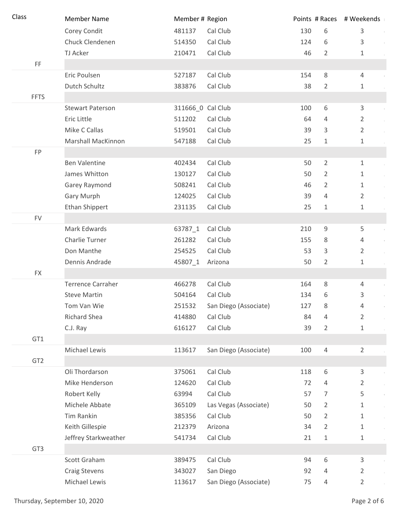| Class           | <b>Member Name</b>       | Member # Region   |                       |     |                | Points # Races # Weekends |
|-----------------|--------------------------|-------------------|-----------------------|-----|----------------|---------------------------|
|                 | Corey Condit             | 481137            | Cal Club              | 130 | 6              | 3                         |
|                 | Chuck Clendenen          | 514350            | Cal Club              | 124 | 6              | 3                         |
|                 | TJ Acker                 | 210471            | Cal Club              | 46  | $\overline{2}$ | 1                         |
| FF              |                          |                   |                       |     |                |                           |
|                 | Eric Poulsen             | 527187            | Cal Club              | 154 | 8              | $\overline{4}$            |
|                 | Dutch Schultz            | 383876            | Cal Club              | 38  | 2              | 1                         |
| <b>FFTS</b>     |                          |                   |                       |     |                |                           |
|                 | <b>Stewart Paterson</b>  | 311666_0 Cal Club |                       | 100 | 6              | 3                         |
|                 | Eric Little              | 511202            | Cal Club              | 64  | 4              | 2                         |
|                 | Mike C Callas            | 519501            | Cal Club              | 39  | 3              | $\overline{2}$            |
|                 | Marshall MacKinnon       | 547188            | Cal Club              | 25  | 1              | $\mathbf 1$               |
| FP              |                          |                   |                       |     |                |                           |
|                 | <b>Ben Valentine</b>     | 402434            | Cal Club              | 50  | $\overline{2}$ | $\mathbf 1$               |
|                 | James Whitton            | 130127            | Cal Club              | 50  | $\overline{2}$ | 1                         |
|                 | Garey Raymond            | 508241            | Cal Club              | 46  | 2              | 1                         |
|                 | Gary Murph               | 124025            | Cal Club              | 39  | 4              | $\overline{2}$            |
|                 | <b>Ethan Shippert</b>    | 231135            | Cal Club              | 25  | 1              | $\mathbf{1}$              |
| <b>FV</b>       |                          |                   |                       |     |                |                           |
|                 | Mark Edwards             | 63787_1           | Cal Club              | 210 | $\mathsf 9$    | 5                         |
|                 | Charlie Turner           | 261282            | Cal Club              | 155 | 8              | $\overline{4}$            |
|                 | Don Manthe               | 254525            | Cal Club              | 53  | 3              | $\overline{2}$            |
|                 | Dennis Andrade           | 45807_1           | Arizona               | 50  | $\overline{2}$ | $\mathbf 1$               |
| <b>FX</b>       |                          |                   |                       |     |                |                           |
|                 | <b>Terrence Carraher</b> | 466278            | Cal Club              | 164 | $\,8\,$        | $\overline{4}$            |
|                 | <b>Steve Martin</b>      | 504164            | Cal Club              | 134 | 6              | 3                         |
|                 | Tom Van Wie              | 251532            | San Diego (Associate) | 127 | 8              | 4                         |
|                 | Richard Shea             | 414880            | Cal Club              | 84  | 4              | $\overline{2}$            |
|                 | C.J. Ray                 | 616127            | Cal Club              | 39  | $\overline{2}$ | 1                         |
| GT1             |                          |                   |                       |     |                |                           |
|                 | Michael Lewis            | 113617            | San Diego (Associate) | 100 | $\overline{4}$ | $\overline{2}$            |
| GT <sub>2</sub> |                          |                   |                       |     |                |                           |
|                 | Oli Thordarson           | 375061            | Cal Club              | 118 | 6              | 3                         |
|                 | Mike Henderson           | 124620            | Cal Club              | 72  | 4              | 2                         |
|                 | Robert Kelly             | 63994             | Cal Club              | 57  | 7              | 5                         |
|                 | Michele Abbate           | 365109            | Las Vegas (Associate) | 50  | $\overline{2}$ | 1                         |
|                 | Tim Rankin               | 385356            | Cal Club              | 50  | 2              | 1                         |
|                 | Keith Gillespie          | 212379            | Arizona               | 34  | $\overline{2}$ | 1                         |
|                 | Jeffrey Starkweather     | 541734            | Cal Club              | 21  | 1              | 1                         |
| GT <sub>3</sub> |                          |                   |                       |     |                |                           |
|                 | Scott Graham             | 389475            | Cal Club              | 94  | 6              | 3                         |
|                 | <b>Craig Stevens</b>     | 343027            | San Diego             | 92  | 4              | 2                         |
|                 | Michael Lewis            | 113617            | San Diego (Associate) | 75  | 4              | $\overline{2}$            |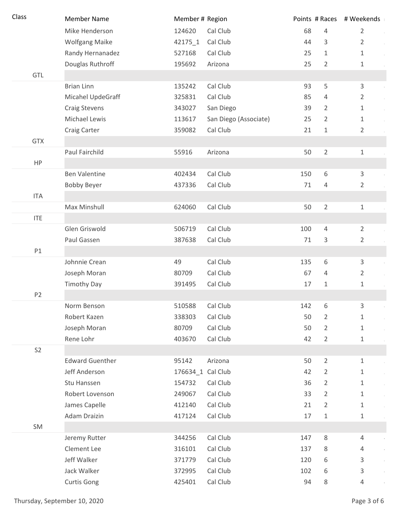| Class          | <b>Member Name</b>     | Member # Region   |                       |     |                | Points # Races # Weekends |
|----------------|------------------------|-------------------|-----------------------|-----|----------------|---------------------------|
|                | Mike Henderson         | 124620            | Cal Club              | 68  | $\overline{4}$ | $\overline{2}$            |
|                | <b>Wolfgang Maike</b>  | 42175 1           | Cal Club              | 44  | 3              | $\overline{2}$            |
|                | Randy Hernanadez       | 527168            | Cal Club              | 25  | $\mathbf{1}$   | $\mathbf 1$               |
|                | Douglas Ruthroff       | 195692            | Arizona               | 25  | $\overline{2}$ | $\mathbf 1$               |
| GTL            |                        |                   |                       |     |                |                           |
|                | <b>Brian Linn</b>      | 135242            | Cal Club              | 93  | 5              | 3                         |
|                | Micahel UpdeGraff      | 325831            | Cal Club              | 85  | $\overline{4}$ | $\overline{2}$            |
|                | Craig Stevens          | 343027            | San Diego             | 39  | $\overline{2}$ | $\,1\,$                   |
|                | Michael Lewis          | 113617            | San Diego (Associate) | 25  | $\overline{2}$ | $\mathbf 1$               |
|                | Craig Carter           | 359082            | Cal Club              | 21  | $\mathbf 1$    | $\overline{2}$            |
| <b>GTX</b>     |                        |                   |                       |     |                |                           |
|                | Paul Fairchild         | 55916             | Arizona               | 50  | $\overline{2}$ | $\mathbf{1}$              |
| HP             |                        |                   |                       |     |                |                           |
|                | <b>Ben Valentine</b>   | 402434            | Cal Club              | 150 | 6              | $\mathsf{3}$              |
|                | <b>Bobby Beyer</b>     | 437336            | Cal Club              | 71  | $\overline{4}$ | $\overline{2}$            |
| <b>ITA</b>     |                        |                   |                       |     |                |                           |
|                | Max Minshull           | 624060            | Cal Club              | 50  | $\overline{2}$ | $\mathbf 1$               |
| <b>ITE</b>     |                        |                   |                       |     |                |                           |
|                | Glen Griswold          | 506719            | Cal Club              | 100 | $\overline{4}$ | $\overline{2}$            |
|                | Paul Gassen            | 387638            | Cal Club              | 71  | 3              | $\overline{2}$            |
| P1             |                        |                   |                       |     |                |                           |
|                | Johnnie Crean          | 49                | Cal Club              | 135 | 6              | 3                         |
|                | Joseph Moran           | 80709             | Cal Club              | 67  | $\overline{4}$ | $\overline{2}$            |
|                | <b>Timothy Day</b>     | 391495            | Cal Club              | 17  | $1\,$          | $\mathbf 1$               |
| P <sub>2</sub> |                        |                   |                       |     |                |                           |
|                | Norm Benson            | 510588            | Cal Club              | 142 | 6              | 3                         |
|                | Robert Kazen           | 338303            | Cal Club              | 50  | $\overline{2}$ | 1                         |
|                | Joseph Moran           | 80709             | Cal Club              | 50  | $\overline{2}$ | $\mathbf 1$               |
|                | Rene Lohr              | 403670            | Cal Club              | 42  | $\overline{2}$ | $\mathbf 1$               |
| S <sub>2</sub> |                        |                   |                       |     |                |                           |
|                | <b>Edward Guenther</b> | 95142             | Arizona               | 50  | $\overline{2}$ | $\mathbf{1}$              |
|                | Jeff Anderson          | 176634_1 Cal Club |                       | 42  | $\overline{2}$ | $\mathbf{1}$              |
|                | Stu Hanssen            | 154732            | Cal Club              | 36  | $\overline{2}$ | $\mathbf 1$               |
|                | Robert Lovenson        | 249067            | Cal Club              | 33  | $\overline{2}$ | $\mathbf 1$               |
|                | James Capelle          | 412140            | Cal Club              | 21  | $\overline{2}$ | $\mathbf 1$               |
|                | Adam Draizin           | 417124            | Cal Club              | 17  | $\mathbf{1}$   | $\mathbf 1$               |
| SM             |                        |                   |                       |     |                |                           |
|                | Jeremy Rutter          | 344256            | Cal Club              | 147 | $\,8\,$        | 4                         |
|                | Clement Lee            | 316101            | Cal Club              | 137 | 8              | 4                         |
|                | Jeff Walker            | 371779            | Cal Club              | 120 | 6              | 3                         |
|                | Jack Walker            | 372995            | Cal Club              | 102 | 6              | 3                         |
|                | <b>Curtis Gong</b>     | 425401            | Cal Club              | 94  | 8              | 4                         |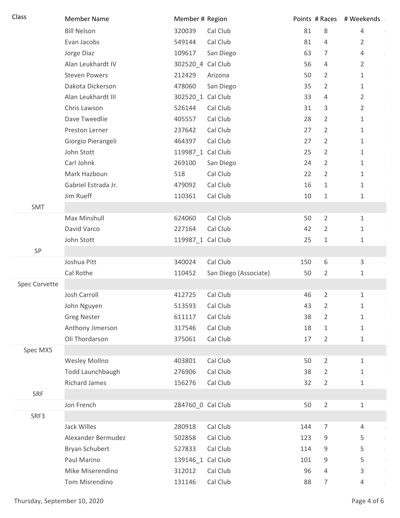| Class         | <b>Member Name</b>   | Member # Region   |                       |     |                | Points # Races # Weekends |
|---------------|----------------------|-------------------|-----------------------|-----|----------------|---------------------------|
|               | <b>Bill Nelson</b>   | 320039            | Cal Club              | 81  | 8              | 4                         |
|               | Evan Jacobs          | 549144            | Cal Club              | 81  | $\overline{4}$ | $\overline{2}$            |
|               | Jorge Diaz           | 109617            | San Diego             | 63  | 7              | 4                         |
|               | Alan Leukhardt IV    | 302520 4 Cal Club |                       | 56  | 4              | $\overline{2}$            |
|               | <b>Steven Powers</b> | 212429            | Arizona               | 50  | $\overline{2}$ | $\mathbf{1}$              |
|               | Dakota Dickerson     | 478060            | San Diego             | 35  | $\overline{2}$ | $\mathbf{1}$              |
|               | Alan Leukhardt III   | 302520_1 Cal Club |                       | 33  | 4              | $\overline{2}$            |
|               | Chris Lawson         | 526144            | Cal Club              | 31  | 3              | $\overline{2}$            |
|               | Dave Tweedlie        | 405557            | Cal Club              | 28  | 2              | 1                         |
|               | Preston Lerner       | 237642            | Cal Club              | 27  | $\overline{2}$ | 1                         |
|               | Giorgio Pierangeli   | 464397            | Cal Club              | 27  | $\overline{2}$ | 1                         |
|               | John Stott           | 119987_1 Cal Club |                       | 25  | $\overline{2}$ | $\mathbf{1}$              |
|               | Carl Johnk           | 269100            | San Diego             | 24  | $\overline{2}$ | $\mathbf{1}$              |
|               | Mark Hazboun         | 518               | Cal Club              | 22  | $\overline{2}$ | 1                         |
|               | Gabriel Estrada Jr.  | 479092            | Cal Club              | 16  | 1              | 1                         |
|               | Jim Rueff            | 110361            | Cal Club              | 10  | 1              | 1                         |
| SMT           |                      |                   |                       |     |                |                           |
|               | Max Minshull         | 624060            | Cal Club              | 50  | $\overline{2}$ | $\mathbf{1}$              |
|               | David Varco          | 227164            | Cal Club              | 42  | $\overline{2}$ | 1                         |
|               | John Stott           | 119987_1 Cal Club |                       | 25  | 1              | 1                         |
| SP            |                      |                   |                       |     |                |                           |
|               | Joshua Pitt          | 340024            | Cal Club              | 150 | 6              | 3                         |
|               | Cal Rothe            | 110452            | San Diego (Associate) | 50  | $\overline{2}$ | 1                         |
| Spec Corvette |                      |                   |                       |     |                |                           |
|               | Josh Carroll         | 412725            | Cal Club              | 46  | $\overline{2}$ | 1                         |
|               | John Nguyen          | 513593            | Cal Club              | 43  | 2              | 1                         |
|               | <b>Greg Nester</b>   | 611117            | Cal Club              | 38  | $\overline{2}$ | $\mathbf 1$               |
|               | Anthony Jimerson     | 317546            | Cal Club              | 18  | $\mathbf{1}$   | 1                         |
|               | Oli Thordarson       | 375061            | Cal Club              | 17  | 2              | 1                         |
| Spec MX5      |                      |                   |                       |     |                |                           |
|               | Wesley Mollno        | 403801            | Cal Club              | 50  | $\overline{2}$ | 1                         |
|               | Todd Launchbaugh     | 276906            | Cal Club              | 38  | $\overline{2}$ | 1                         |
|               | <b>Richard James</b> | 156276            | Cal Club              | 32  | $\overline{2}$ | 1                         |
| SRF           |                      |                   |                       |     |                |                           |
|               | Jon French           | 284760 0 Cal Club |                       | 50  | $\overline{2}$ | $\mathbf{1}$              |
| SRF3          |                      |                   |                       |     |                |                           |
|               | Jack Willes          | 280918            | Cal Club              | 144 | $\overline{7}$ | 4                         |
|               | Alexander Bermudez   | 502858            | Cal Club              | 123 | 9              | 5                         |
|               | Bryan Schubert       | 527833            | Cal Club              | 114 | 9              | 5                         |
|               | Paul Marino          | 139146_1 Cal Club |                       | 101 | 9              | 5                         |
|               | Mike Miserendino     | 312012            | Cal Club              | 96  | 4              | 3                         |
|               | Tom Misrendino       | 131146            | Cal Club              | 88  | $\overline{7}$ | 4                         |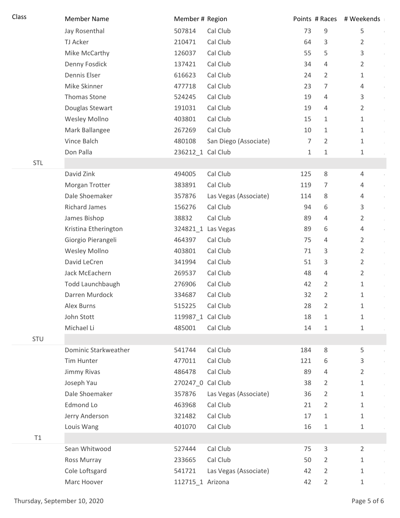| Class      | <b>Member Name</b>   | Member # Region   |                       |     |                | Points # Races # Weekends |
|------------|----------------------|-------------------|-----------------------|-----|----------------|---------------------------|
|            | Jay Rosenthal        | 507814            | Cal Club              | 73  | 9              | 5                         |
|            | TJ Acker             | 210471            | Cal Club              | 64  | 3              | $\overline{2}$            |
|            | Mike McCarthy        | 126037            | Cal Club              | 55  | 5              | 3                         |
|            | Denny Fosdick        | 137421            | Cal Club              | 34  | 4              | $\overline{2}$            |
|            | Dennis Elser         | 616623            | Cal Club              | 24  | 2              | 1                         |
|            | Mike Skinner         | 477718            | Cal Club              | 23  | 7              | 4                         |
|            | Thomas Stone         | 524245            | Cal Club              | 19  | 4              | 3                         |
|            | Douglas Stewart      | 191031            | Cal Club              | 19  | 4              | $\overline{2}$            |
|            | Wesley Mollno        | 403801            | Cal Club              | 15  | 1              | 1                         |
|            | Mark Ballangee       | 267269            | Cal Club              | 10  | 1              | 1                         |
|            | Vince Balch          | 480108            | San Diego (Associate) | 7   | 2              | 1                         |
|            | Don Palla            | 236212_1 Cal Club |                       | 1   | 1              | 1                         |
| <b>STL</b> |                      |                   |                       |     |                |                           |
|            | David Zink           | 494005            | Cal Club              | 125 | $\,8\,$        | 4                         |
|            | Morgan Trotter       | 383891            | Cal Club              | 119 | 7              | 4                         |
|            | Dale Shoemaker       | 357876            | Las Vegas (Associate) | 114 | 8              | 4                         |
|            | <b>Richard James</b> | 156276            | Cal Club              | 94  | 6              | 3                         |
|            | James Bishop         | 38832             | Cal Club              | 89  | 4              | $\overline{2}$            |
|            | Kristina Etherington |                   | 324821_1 Las Vegas    | 89  | 6              | 4                         |
|            | Giorgio Pierangeli   | 464397            | Cal Club              | 75  | 4              | 2                         |
|            | Wesley Mollno        | 403801            | Cal Club              | 71  | 3              | $\overline{2}$            |
|            | David LeCren         | 341994            | Cal Club              | 51  | 3              | $\overline{2}$            |
|            | Jack McEachern       | 269537            | Cal Club              | 48  | 4              | $\overline{2}$            |
|            | Todd Launchbaugh     | 276906            | Cal Club              | 42  | $\overline{2}$ | 1                         |
|            | Darren Murdock       | 334687            | Cal Club              | 32  | 2              | $\mathbf 1$               |
|            | Alex Burns           | 515225            | Cal Club              | 28  | 2              | 1                         |
|            | John Stott           | 119987_1 Cal Club |                       | 18  | 1              | 1                         |
|            | Michael Li           | 485001            | Cal Club              | 14  | 1              | 1                         |
| STU        |                      |                   |                       |     |                |                           |
|            | Dominic Starkweather | 541744            | Cal Club              | 184 | 8              | 5                         |
|            | Tim Hunter           | 477011            | Cal Club              | 121 | 6              | 3                         |
|            | Jimmy Rivas          | 486478            | Cal Club              | 89  | 4              | 2                         |
|            | Joseph Yau           | 270247_0 Cal Club |                       | 38  | 2              | 1                         |
|            | Dale Shoemaker       | 357876            | Las Vegas (Associate) | 36  | $\overline{2}$ | 1                         |
|            | Edmond Lo            | 463968            | Cal Club              | 21  | 2              | 1                         |
|            | Jerry Anderson       | 321482            | Cal Club              | 17  | 1              | 1                         |
|            | Louis Wang           | 401070            | Cal Club              | 16  | 1              | 1                         |
| T1         |                      |                   |                       |     |                |                           |
|            | Sean Whitwood        | 527444            | Cal Club              | 75  | 3              | $\overline{2}$            |
|            | Ross Murray          | 233665            | Cal Club              | 50  | 2              | 1                         |
|            | Cole Loftsgard       | 541721            | Las Vegas (Associate) | 42  | $\overline{2}$ | 1                         |
|            | Marc Hoover          | 112715_1 Arizona  |                       | 42  | $\overline{2}$ | $\mathbf 1$               |